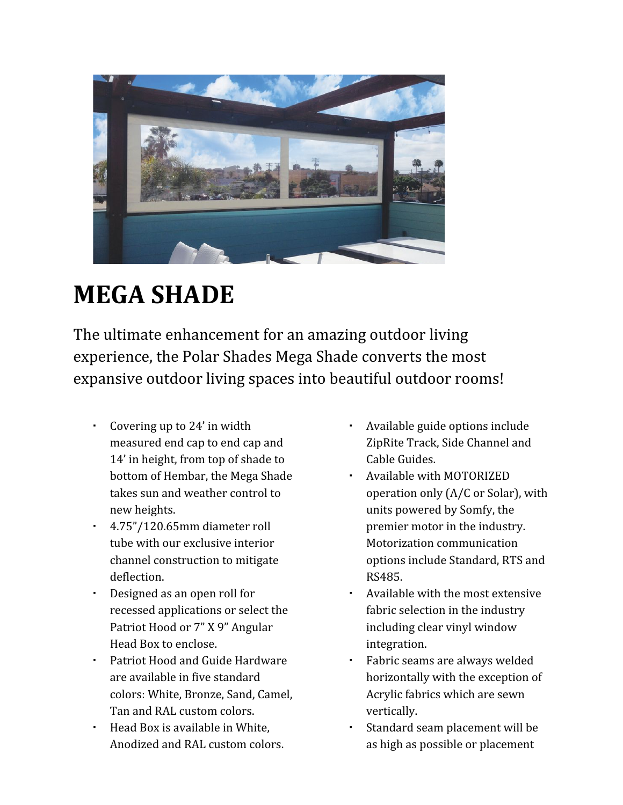

## **MEGA SHADE**

The ultimate enhancement for an amazing outdoor living experience, the Polar Shades Mega Shade converts the most expansive outdoor living spaces into beautiful outdoor rooms!

- Covering up to 24' in width measured end cap to end cap and 14' in height, from top of shade to bottom of Hembar, the Mega Shade takes sun and weather control to new heights.
- 4.75"/120.65mm diameter roll tube with our exclusive interior channel construction to mitigate deflection.
- Designed as an open roll for recessed applications or select the Patriot Hood or 7" X 9" Angular Head Box to enclose.
- Patriot Hood and Guide Hardware are available in five standard colors: White, Bronze, Sand, Camel, Tan and RAL custom colors.
- Head Box is available in White, Anodized and RAL custom colors.
- Available guide options include ZipRite Track, Side Channel and Cable Guides.
- Available with MOTORIZED operation only (A/C or Solar), with units powered by Somfy, the premier motor in the industry. Motorization communication options include Standard, RTS and RS485.
- Available with the most extensive fabric selection in the industry including clear vinyl window integration.
- Fabric seams are always welded horizontally with the exception of Acrylic fabrics which are sewn vertically.
- Standard seam placement will be as high as possible or placement